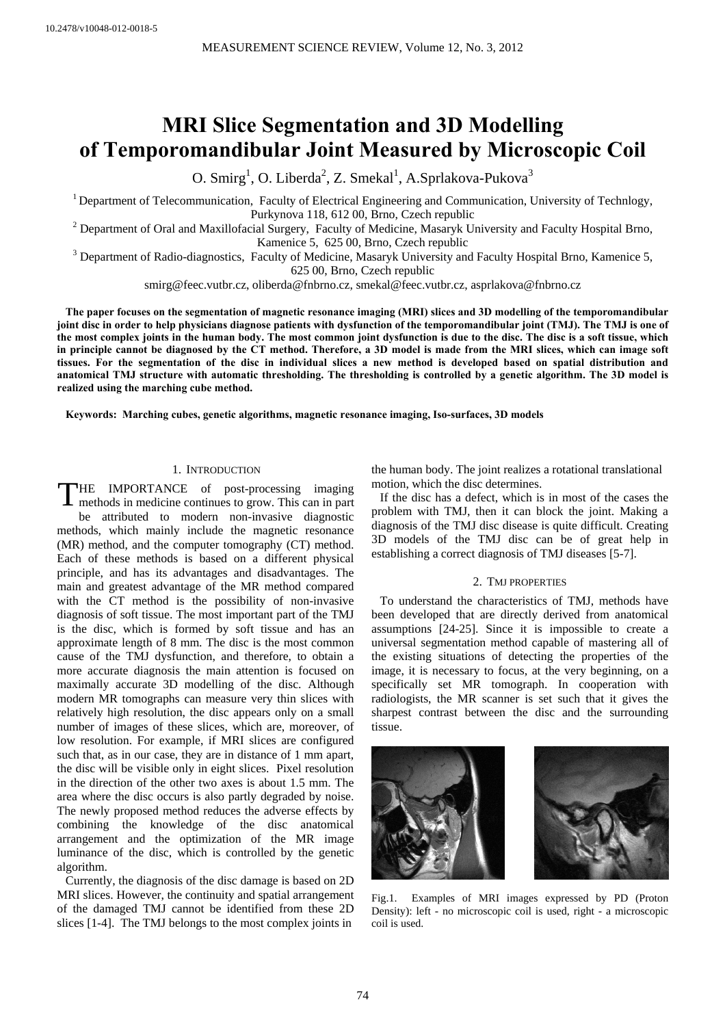10.2478/v10048-012-0018-5

# **MRI Slice Segmentation and 3D Modelling of Temporomandibular Joint Measured by Microscopic Coil**

O. Smirg<sup>1</sup>, O. Liberda<sup>2</sup>, Z. Smekal<sup>1</sup>, A.Sprlakova-Pukova<sup>3</sup>

<sup>1</sup> Department of Telecommunication, Faculty of Electrical Engineering and Communication, University of Technlogy,

Purkynova 118, 612 00, Brno, Czech republic<br><sup>2</sup> Department of Oral and Maxillofacial Surgery, Faculty of Medicine, Masaryk University and Faculty Hospital Brno,

Kamenice 5, 625 00, Brno, Czech republic<br><sup>3</sup> Department of Radio-diagnostics, Faculty of Medicine, Masaryk University and Faculty Hospital Brno, Kamenice 5,

625 00, Brno, Czech republic

smirg@feec.vutbr.cz, oliberda@fnbrno.cz, smekal@feec.vutbr.cz, asprlakova@fnbrno.cz

**The paper focuses on the segmentation of magnetic resonance imaging (MRI) slices and 3D modelling of the temporomandibular joint disc in order to help physicians diagnose patients with dysfunction of the temporomandibular joint (TMJ). The TMJ is one of the most complex joints in the human body. The most common joint dysfunction is due to the disc. The disc is a soft tissue, which in principle cannot be diagnosed by the CT method. Therefore, a 3D model is made from the MRI slices, which can image soft tissues. For the segmentation of the disc in individual slices a new method is developed based on spatial distribution and anatomical TMJ structure with automatic thresholding. The thresholding is controlled by a genetic algorithm. The 3D model is realized using the marching cube method.**

**Keywords: Marching cubes, genetic algorithms, magnetic resonance imaging, Iso-surfaces, 3D models** 

# 1. INTRODUCTION

THE IMPORTANCE of post-processing imaging<br>methods in medicine continues to grow. This can in part methods in medicine continues to grow. This can in part be attributed to modern non-invasive diagnostic methods, which mainly include the magnetic resonance (MR) method, and the computer tomography (CT) method. Each of these methods is based on a different physical principle, and has its advantages and disadvantages. The main and greatest advantage of the MR method compared with the CT method is the possibility of non-invasive diagnosis of soft tissue. The most important part of the TMJ is the disc, which is formed by soft tissue and has an approximate length of 8 mm. The disc is the most common cause of the TMJ dysfunction, and therefore, to obtain a more accurate diagnosis the main attention is focused on maximally accurate 3D modelling of the disc. Although modern MR tomographs can measure very thin slices with relatively high resolution, the disc appears only on a small number of images of these slices, which are, moreover, of low resolution. For example, if MRI slices are configured such that, as in our case, they are in distance of 1 mm apart, the disc will be visible only in eight slices. Pixel resolution in the direction of the other two axes is about 1.5 mm. The area where the disc occurs is also partly degraded by noise. The newly proposed method reduces the adverse effects by combining the knowledge of the disc anatomical arrangement and the optimization of the MR image luminance of the disc, which is controlled by the genetic algorithm.

Currently, the diagnosis of the disc damage is based on 2D MRI slices. However, the continuity and spatial arrangement of the damaged TMJ cannot be identified from these 2D slices [1-4]. The TMJ belongs to the most complex joints in

the human body. The joint realizes a rotational translational motion, which the disc determines.

If the disc has a defect, which is in most of the cases the problem with TMJ, then it can block the joint. Making a diagnosis of the TMJ disc disease is quite difficult. Creating 3D models of the TMJ disc can be of great help in establishing a correct diagnosis of TMJ diseases [5-7].

## 2. TMJ PROPERTIES

To understand the characteristics of TMJ, methods have been developed that are directly derived from anatomical assumptions [24-25]. Since it is impossible to create a universal segmentation method capable of mastering all of the existing situations of detecting the properties of the image, it is necessary to focus, at the very beginning, on a specifically set MR tomograph. In cooperation with radiologists, the MR scanner is set such that it gives the sharpest contrast between the disc and the surrounding tissue.



Fig.1. Examples of MRI images expressed by PD (Proton Density): left - no microscopic coil is used, right - a microscopic coil is used.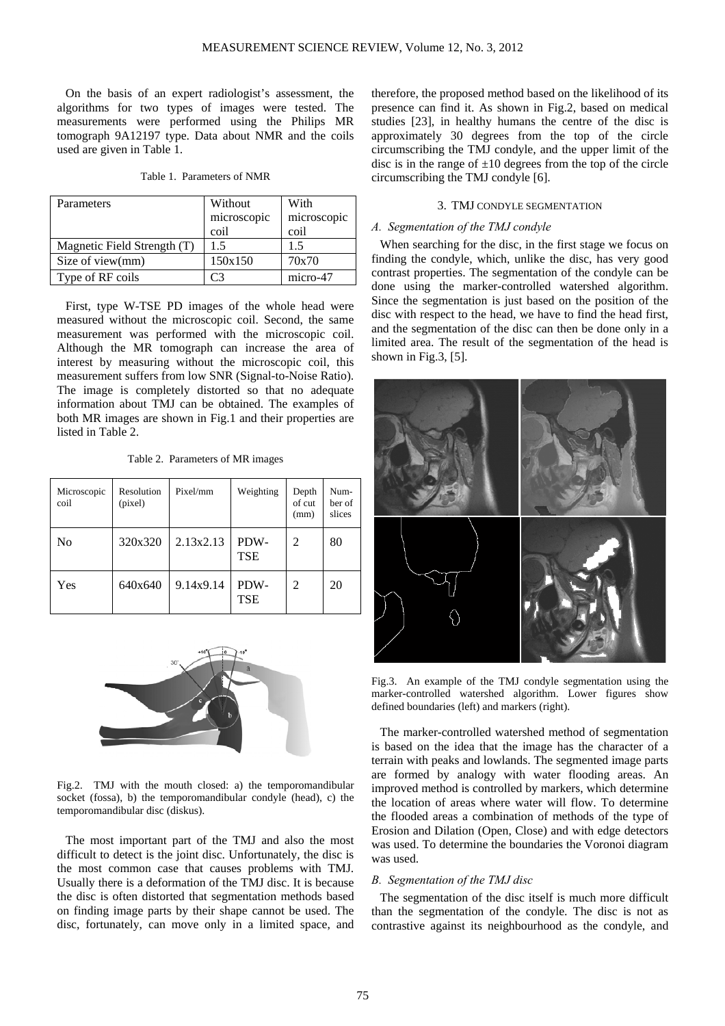On the basis of an expert radiologist's assessment, the algorithms for two types of images were tested. The measurements were performed using the Philips MR tomograph 9A12197 type. Data about NMR and the coils used are given in Table 1.

| Table 1. Parameters of NMR |
|----------------------------|
|----------------------------|

| Parameters                  | Without        | With        |
|-----------------------------|----------------|-------------|
|                             | microscopic    | microscopic |
|                             | coil           | coil        |
| Magnetic Field Strength (T) | 1.5            | 1.5         |
| Size of view $(mm)$         | 150x150        | 70x70       |
| Type of RF coils            | C <sup>3</sup> | micro-47    |

First, type W-TSE PD images of the whole head were measured without the microscopic coil. Second, the same measurement was performed with the microscopic coil. Although the MR tomograph can increase the area of interest by measuring without the microscopic coil, this measurement suffers from low SNR (Signal-to-Noise Ratio). The image is completely distorted so that no adequate information about TMJ can be obtained. The examples of both MR images are shown in Fig.1 and their properties are listed in Table 2.

Table 2. Parameters of MR images

| Microscopic<br>coil | Resolution<br>(pixel) | Pixel/mm  | Weighting          | Depth<br>of cut<br>(mm) | Num-<br>ber of<br>slices |
|---------------------|-----------------------|-----------|--------------------|-------------------------|--------------------------|
| No                  | 320x320               | 2.13x2.13 | PDW-<br><b>TSE</b> | 2                       | 80                       |
| Yes                 | 640x640               | 9.14x9.14 | PDW-<br><b>TSE</b> | 2                       | 20                       |



Fig.2. TMJ with the mouth closed: a) the temporomandibular socket (fossa), b) the temporomandibular condyle (head), c) the temporomandibular disc (diskus).

The most important part of the TMJ and also the most difficult to detect is the joint disc. Unfortunately, the disc is the most common case that causes problems with TMJ. Usually there is a deformation of the TMJ disc. It is because the disc is often distorted that segmentation methods based on finding image parts by their shape cannot be used. The disc, fortunately, can move only in a limited space, and therefore, the proposed method based on the likelihood of its presence can find it. As shown in Fig.2, based on medical studies [23], in healthy humans the centre of the disc is approximately 30 degrees from the top of the circle circumscribing the TMJ condyle, and the upper limit of the disc is in the range of  $\pm 10$  degrees from the top of the circle circumscribing the TMJ condyle [6].

# 3. TMJ CONDYLE SEGMENTATION

# *A. Segmentation of the TMJ condyle*

When searching for the disc, in the first stage we focus on finding the condyle, which, unlike the disc, has very good contrast properties. The segmentation of the condyle can be done using the marker-controlled watershed algorithm. Since the segmentation is just based on the position of the disc with respect to the head, we have to find the head first, and the segmentation of the disc can then be done only in a limited area. The result of the segmentation of the head is shown in Fig.3, [5].



Fig.3. An example of the TMJ condyle segmentation using the marker-controlled watershed algorithm. Lower figures show defined boundaries (left) and markers (right).

The marker-controlled watershed method of segmentation is based on the idea that the image has the character of a terrain with peaks and lowlands. The segmented image parts are formed by analogy with water flooding areas. An improved method is controlled by markers, which determine the location of areas where water will flow. To determine the flooded areas a combination of methods of the type of Erosion and Dilation (Open, Close) and with edge detectors was used. To determine the boundaries the Voronoi diagram was used.

# *B. Segmentation of the TMJ disc*

The segmentation of the disc itself is much more difficult than the segmentation of the condyle. The disc is not as contrastive against its neighbourhood as the condyle, and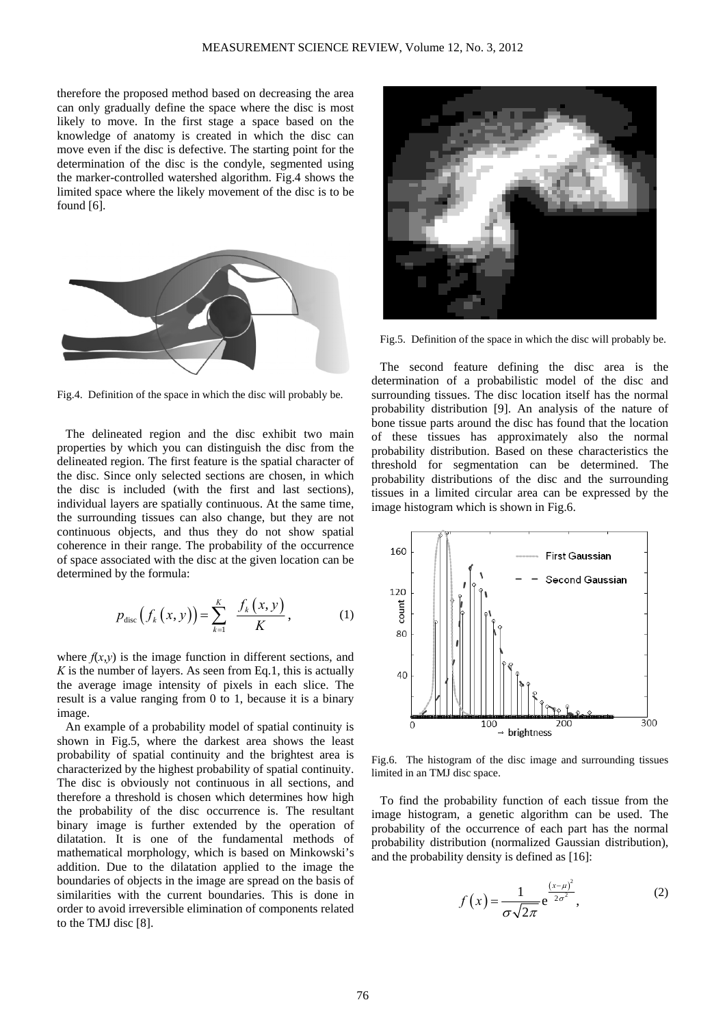therefore the proposed method based on decreasing the area can only gradually define the space where the disc is most likely to move. In the first stage a space based on the knowledge of anatomy is created in which the disc can move even if the disc is defective. The starting point for the determination of the disc is the condyle, segmented using the marker-controlled watershed algorithm. Fig.4 shows the limited space where the likely movement of the disc is to be found [6].



Fig.4. Definition of the space in which the disc will probably be.

The delineated region and the disc exhibit two main properties by which you can distinguish the disc from the delineated region. The first feature is the spatial character of the disc. Since only selected sections are chosen, in which the disc is included (with the first and last sections), individual layers are spatially continuous. At the same time, the surrounding tissues can also change, but they are not continuous objects, and thus they do not show spatial coherence in their range. The probability of the occurrence of space associated with the disc at the given location can be determined by the formula:

$$
p_{\text{disc}}\left(f_k\left(x,y\right)\right) = \sum_{k=1}^K \frac{f_k\left(x,y\right)}{K},\tag{1}
$$

where  $f(x,y)$  is the image function in different sections, and *K* is the number of layers. As seen from Eq.1, this is actually the average image intensity of pixels in each slice. The result is a value ranging from 0 to 1, because it is a binary image.

An example of a probability model of spatial continuity is shown in Fig.5, where the darkest area shows the least probability of spatial continuity and the brightest area is characterized by the highest probability of spatial continuity. The disc is obviously not continuous in all sections, and therefore a threshold is chosen which determines how high the probability of the disc occurrence is. The resultant binary image is further extended by the operation of dilatation. It is one of the fundamental methods of mathematical morphology, which is based on Minkowski's addition. Due to the dilatation applied to the image the boundaries of objects in the image are spread on the basis of similarities with the current boundaries. This is done in order to avoid irreversible elimination of components related to the TMJ disc [8].



Fig.5. Definition of the space in which the disc will probably be.

The second feature defining the disc area is the determination of a probabilistic model of the disc and surrounding tissues. The disc location itself has the normal probability distribution [9]. An analysis of the nature of bone tissue parts around the disc has found that the location of these tissues has approximately also the normal probability distribution. Based on these characteristics the threshold for segmentation can be determined. The probability distributions of the disc and the surrounding tissues in a limited circular area can be expressed by the image histogram which is shown in Fig.6.



Fig.6. The histogram of the disc image and surrounding tissues limited in an TMJ disc space.

To find the probability function of each tissue from the image histogram, a genetic algorithm can be used. The probability of the occurrence of each part has the normal probability distribution (normalized Gaussian distribution), and the probability density is defined as [16]:

$$
f(x) = \frac{1}{\sigma\sqrt{2\pi}}e^{\frac{(x-\mu)^2}{2\sigma^2}},
$$
 (2)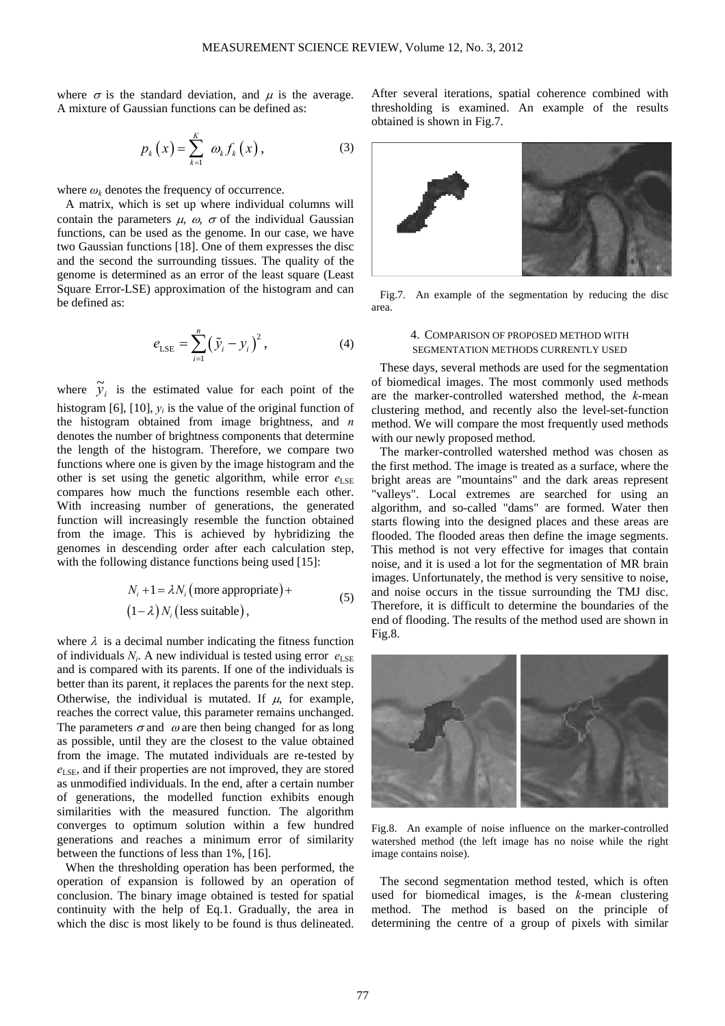where  $\sigma$  is the standard deviation, and  $\mu$  is the average. A mixture of Gaussian functions can be defined as:

$$
p_k(x) = \sum_{k=1}^K \varpi_k f_k(x), \qquad (3)
$$

where  $\omega_k$  denotes the frequency of occurrence.

A matrix, which is set up where individual columns will contain the parameters  $\mu$ ,  $\omega$ ,  $\sigma$  of the individual Gaussian functions, can be used as the genome. In our case, we have two Gaussian functions [18]. One of them expresses the disc and the second the surrounding tissues. The quality of the genome is determined as an error of the least square (Least Square Error-LSE) approximation of the histogram and can be defined as:

$$
e_{\text{LSE}} = \sum_{i=1}^{n} \left( \tilde{y}_i - y_i \right)^2, \tag{4}
$$

where  $\tilde{y}_i$  is the estimated value for each point of the histogram [6], [10],  $y_i$  is the value of the original function of the histogram obtained from image brightness, and *n* denotes the number of brightness components that determine the length of the histogram. Therefore, we compare two functions where one is given by the image histogram and the other is set using the genetic algorithm, while error  $e_{\text{LSE}}$ compares how much the functions resemble each other. With increasing number of generations, the generated function will increasingly resemble the function obtained from the image. This is achieved by hybridizing the genomes in descending order after each calculation step, with the following distance functions being used [15]:

$$
N_i + 1 = \lambda N_i \text{ (more appropriate)} +
$$
  
\n
$$
(1 - \lambda) N_i \text{ (less suitable)},
$$
 (5)

where  $\lambda$  is a decimal number indicating the fitness function of individuals  $N_i$ . A new individual is tested using error  $e_{LSE}$ and is compared with its parents. If one of the individuals is better than its parent, it replaces the parents for the next step. Otherwise, the individual is mutated. If  $\mu$ , for example, reaches the correct value, this parameter remains unchanged. The parameters  $\sigma$  and  $\omega$  are then being changed for as long as possible, until they are the closest to the value obtained from the image. The mutated individuals are re-tested by  $e<sub>LSE</sub>$ , and if their properties are not improved, they are stored as unmodified individuals. In the end, after a certain number of generations, the modelled function exhibits enough similarities with the measured function. The algorithm converges to optimum solution within a few hundred generations and reaches a minimum error of similarity between the functions of less than 1%, [16].

When the thresholding operation has been performed, the operation of expansion is followed by an operation of conclusion. The binary image obtained is tested for spatial continuity with the help of Eq.1. Gradually, the area in which the disc is most likely to be found is thus delineated.

After several iterations, spatial coherence combined with thresholding is examined. An example of the results obtained is shown in Fig.7.



Fig.7. An example of the segmentation by reducing the disc area.

# 4. COMPARISON OF PROPOSED METHOD WITH SEGMENTATION METHODS CURRENTLY USED

These days, several methods are used for the segmentation of biomedical images. The most commonly used methods are the marker-controlled watershed method, the *k*-mean clustering method, and recently also the level-set-function method. We will compare the most frequently used methods with our newly proposed method.

The marker-controlled watershed method was chosen as the first method. The image is treated as a surface, where the bright areas are "mountains" and the dark areas represent "valleys". Local extremes are searched for using an algorithm, and so-called "dams" are formed. Water then starts flowing into the designed places and these areas are flooded. The flooded areas then define the image segments. This method is not very effective for images that contain noise, and it is used a lot for the segmentation of MR brain images. Unfortunately, the method is very sensitive to noise, and noise occurs in the tissue surrounding the TMJ disc. Therefore, it is difficult to determine the boundaries of the end of flooding. The results of the method used are shown in Fig.8.



Fig.8. An example of noise influence on the marker-controlled watershed method (the left image has no noise while the right image contains noise).

The second segmentation method tested, which is often used for biomedical images, is the *k*-mean clustering method. The method is based on the principle of determining the centre of a group of pixels with similar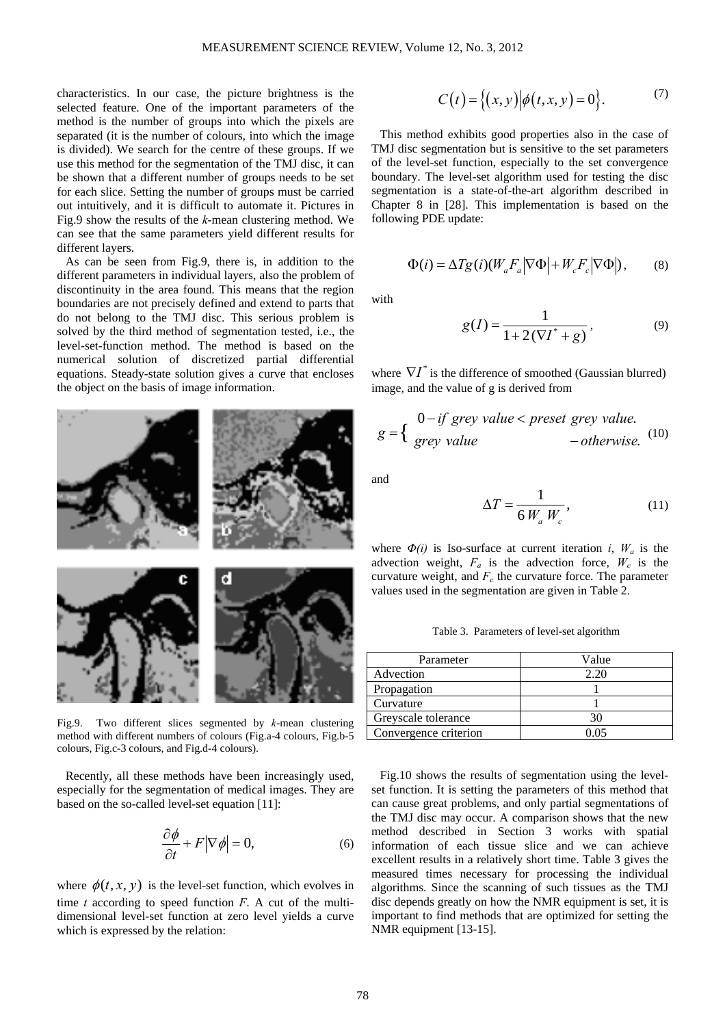characteristics. In our case, the picture brightness is the selected feature. One of the important parameters of the method is the number of groups into which the pixels are separated (it is the number of colours, into which the image is divided). We search for the centre of these groups. If we use this method for the segmentation of the TMJ disc, it can be shown that a different number of groups needs to be set for each slice. Setting the number of groups must be carried out intuitively, and it is difficult to automate it. Pictures in Fig.9 show the results of the *k*-mean clustering method. We can see that the same parameters yield different results for different layers.

As can be seen from Fig.9, there is, in addition to the different parameters in individual layers, also the problem of discontinuity in the area found. This means that the region boundaries are not precisely defined and extend to parts that do not belong to the TMJ disc. This serious problem is solved by the third method of segmentation tested, i.e., the level-set-function method. The method is based on the numerical solution of discretized partial differential equations. Steady-state solution gives a curve that encloses the object on the basis of image information.



Fig.9. Two different slices segmented by *k*-mean clustering method with different numbers of colours (Fig.a-4 colours, Fig.b-5 colours, Fig.c-3 colours, and Fig.d-4 colours).

Recently, all these methods have been increasingly used, especially for the segmentation of medical images. They are based on the so-called level-set equation [11]:

$$
\frac{\partial \phi}{\partial t} + F|\nabla \phi| = 0,\tag{6}
$$

where  $\phi(t, x, y)$  is the level-set function, which evolves in time *t* according to speed function *F*. A cut of the multidimensional level-set function at zero level yields a curve which is expressed by the relation:

$$
C(t) = \{(x, y) | \phi(t, x, y) = 0\}.
$$
 (7)

This method exhibits good properties also in the case of TMJ disc segmentation but is sensitive to the set parameters of the level-set function, especially to the set convergence boundary. The level-set algorithm used for testing the disc segmentation is a state-of-the-art algorithm described in Chapter 8 in [28]. This implementation is based on the following PDE update:

$$
\Phi(i) = \Delta T g(i) (W_a F_a |\nabla \Phi| + W_c F_c |\nabla \Phi|), \quad (8)
$$

with

$$
g(I) = \frac{1}{1 + 2(\nabla I^* + g)},
$$
\n(9)

where  $\nabla I^*$  is the difference of smoothed (Gaussian blurred) image, and the value of g is derived from

$$
g = \left\{ \begin{array}{ll} 0 & \text{if grey value} < \text{present grey value.} \\ \text{grey value} & \text{otherwise.} \end{array} \right. \tag{10}
$$

and

$$
\Delta T = \frac{1}{6 W_a W_c},\tag{11}
$$

where  $\Phi(i)$  is Iso-surface at current iteration *i*,  $W_a$  is the advection weight,  $F_a$  is the advection force,  $W_c$  is the curvature weight, and  $F_c$  the curvature force. The parameter values used in the segmentation are given in Table 2.

Table 3. Parameters of level-set algorithm

| Parameter             | Value |
|-----------------------|-------|
| Advection             | 2.20  |
| Propagation           |       |
| Curvature             |       |
| Greyscale tolerance   | 30    |
| Convergence criterion | 0 05  |

Fig.10 shows the results of segmentation using the levelset function. It is setting the parameters of this method that can cause great problems, and only partial segmentations of the TMJ disc may occur. A comparison shows that the new method described in Section 3 works with spatial information of each tissue slice and we can achieve excellent results in a relatively short time. Table 3 gives the measured times necessary for processing the individual algorithms. Since the scanning of such tissues as the TMJ disc depends greatly on how the NMR equipment is set, it is important to find methods that are optimized for setting the NMR equipment [13-15].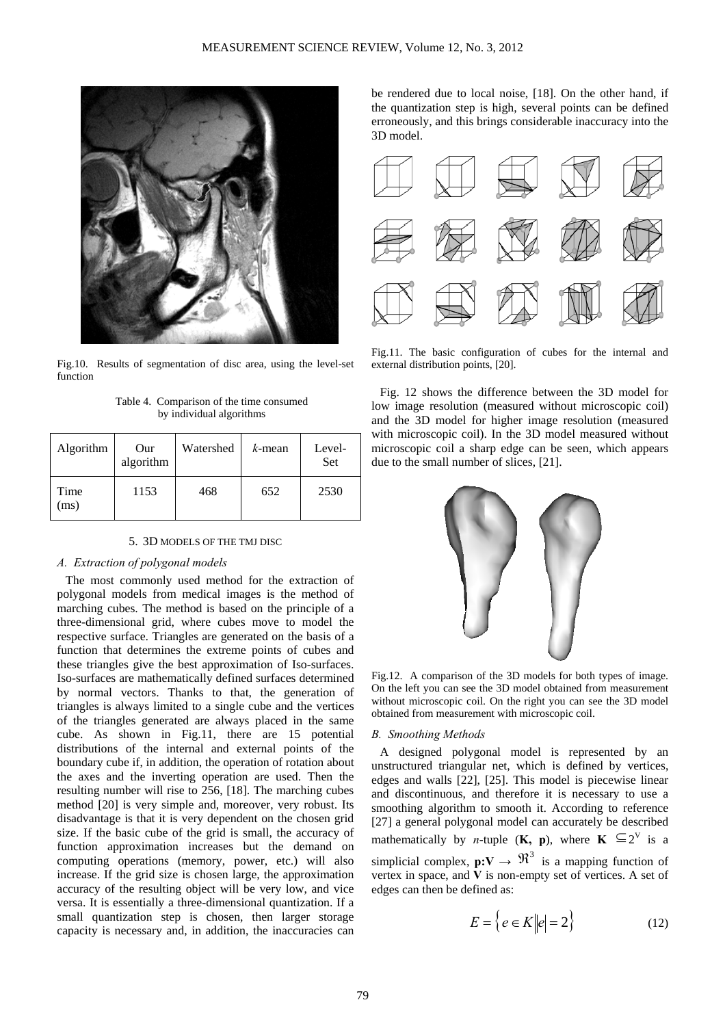

Fig.10. Results of segmentation of disc area, using the level-set function

Table 4. Comparison of the time consumed by individual algorithms

| Algorithm   | Our<br>algorithm | Watershed | $k$ -mean | Level-<br>Set |
|-------------|------------------|-----------|-----------|---------------|
| Time<br>ms) | 1153             | 468       | 652       | 2530          |

# 5. 3D MODELS OF THE TMJ DISC

# *A. Extraction of polygonal models*

The most commonly used method for the extraction of polygonal models from medical images is the method of marching cubes. The method is based on the principle of a three-dimensional grid, where cubes move to model the respective surface. Triangles are generated on the basis of a function that determines the extreme points of cubes and these triangles give the best approximation of Iso-surfaces. Iso-surfaces are mathematically defined surfaces determined by normal vectors. Thanks to that, the generation of triangles is always limited to a single cube and the vertices of the triangles generated are always placed in the same cube. As shown in Fig.11, there are 15 potential distributions of the internal and external points of the boundary cube if, in addition, the operation of rotation about the axes and the inverting operation are used. Then the resulting number will rise to 256, [18]. The marching cubes method [20] is very simple and, moreover, very robust. Its disadvantage is that it is very dependent on the chosen grid size. If the basic cube of the grid is small, the accuracy of function approximation increases but the demand on computing operations (memory, power, etc.) will also increase. If the grid size is chosen large, the approximation accuracy of the resulting object will be very low, and vice versa. It is essentially a three-dimensional quantization. If a small quantization step is chosen, then larger storage capacity is necessary and, in addition, the inaccuracies can

be rendered due to local noise, [18]. On the other hand, if the quantization step is high, several points can be defined erroneously, and this brings considerable inaccuracy into the 3D model.



Fig.11. The basic configuration of cubes for the internal and external distribution points, [20].

Fig. 12 shows the difference between the 3D model for low image resolution (measured without microscopic coil) and the 3D model for higher image resolution (measured with microscopic coil). In the 3D model measured without microscopic coil a sharp edge can be seen, which appears due to the small number of slices, [21].



Fig.12. A comparison of the 3D models for both types of image. On the left you can see the 3D model obtained from measurement without microscopic coil. On the right you can see the 3D model obtained from measurement with microscopic coil.

## *B. Smoothing Methods*

A designed polygonal model is represented by an unstructured triangular net, which is defined by vertices, edges and walls [22], [25]. This model is piecewise linear and discontinuous, and therefore it is necessary to use a smoothing algorithm to smooth it. According to reference [27] a general polygonal model can accurately be described mathematically by *n*-tuple (**K**, **p**), where **K**  $\subseteq 2^V$  is a simplicial complex,  $\mathbf{p}: \mathbf{V} \to \mathbb{R}^3$  is a mapping function of vertex in space, and **V** is non-empty set of vertices. A set of edges can then be defined as:

$$
E = \left\{ e \in K \middle| e \middle| = 2 \right\} \tag{12}
$$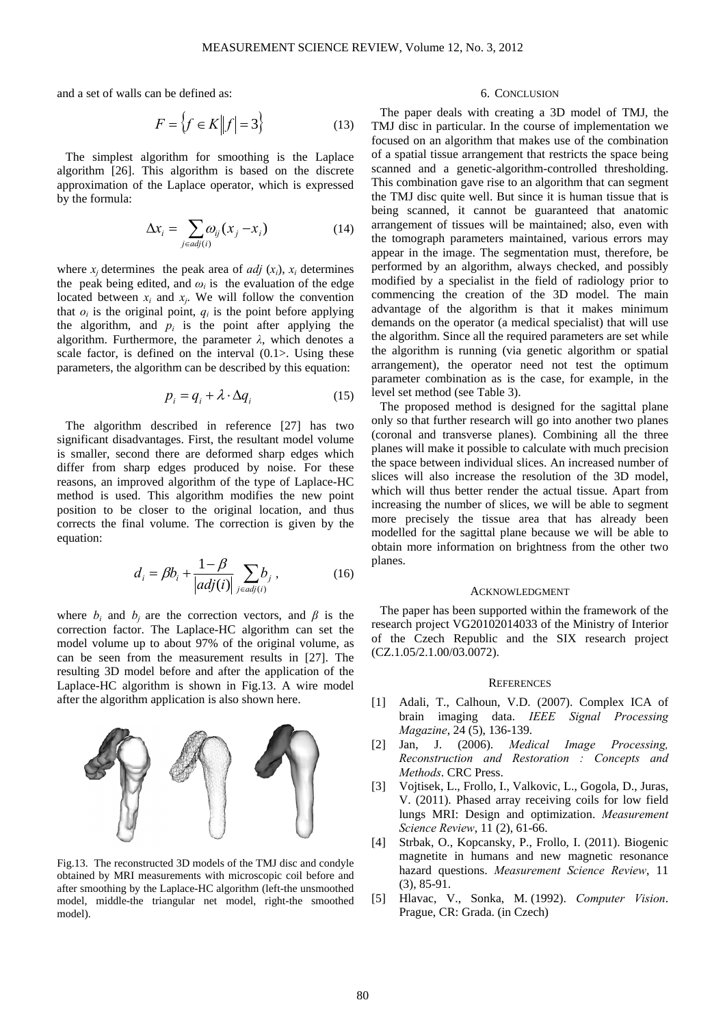and a set of walls can be defined as:

$$
F = \left\{ f \in K \middle| f \middle| = 3 \right\} \tag{13}
$$

The simplest algorithm for smoothing is the Laplace algorithm [26]. This algorithm is based on the discrete approximation of the Laplace operator, which is expressed by the formula:

$$
\Delta x_i = \sum_{j \in adj(i)} \omega_{ij} (x_j - x_i) \tag{14}
$$

where  $x_i$  determines the peak area of *adj*  $(x_i)$ ,  $x_i$  determines the peak being edited, and  $\omega_i$  is the evaluation of the edge located between  $x_i$  and  $x_j$ . We will follow the convention that  $o_i$  is the original point,  $q_i$  is the point before applying the algorithm, and  $p_i$  is the point after applying the algorithm. Furthermore, the parameter *λ*, which denotes a scale factor, is defined on the interval (0.1>. Using these parameters, the algorithm can be described by this equation:

$$
p_i = q_i + \lambda \cdot \Delta q_i \tag{15}
$$

The algorithm described in reference [27] has two significant disadvantages. First, the resultant model volume is smaller, second there are deformed sharp edges which differ from sharp edges produced by noise. For these reasons, an improved algorithm of the type of Laplace-HC method is used. This algorithm modifies the new point position to be closer to the original location, and thus corrects the final volume. The correction is given by the equation:

$$
d_i = \beta b_i + \frac{1-\beta}{|adj(i)|} \sum_{j \in adj(i)} b_j, \qquad (16)
$$

where  $b_i$  and  $b_j$  are the correction vectors, and  $\beta$  is the correction factor. The Laplace-HC algorithm can set the model volume up to about 97% of the original volume, as can be seen from the measurement results in [27]. The resulting 3D model before and after the application of the Laplace-HC algorithm is shown in Fig.13. A wire model after the algorithm application is also shown here.



Fig.13. The reconstructed 3D models of the TMJ disc and condyle obtained by MRI measurements with microscopic coil before and after smoothing by the Laplace-HC algorithm (left-the unsmoothed model, middle-the triangular net model, right-the smoothed model).

# 6. CONCLUSION

The paper deals with creating a 3D model of TMJ, the TMJ disc in particular. In the course of implementation we focused on an algorithm that makes use of the combination of a spatial tissue arrangement that restricts the space being scanned and a genetic-algorithm-controlled thresholding. This combination gave rise to an algorithm that can segment the TMJ disc quite well. But since it is human tissue that is being scanned, it cannot be guaranteed that anatomic arrangement of tissues will be maintained; also, even with the tomograph parameters maintained, various errors may appear in the image. The segmentation must, therefore, be performed by an algorithm, always checked, and possibly modified by a specialist in the field of radiology prior to commencing the creation of the 3D model. The main advantage of the algorithm is that it makes minimum demands on the operator (a medical specialist) that will use the algorithm. Since all the required parameters are set while the algorithm is running (via genetic algorithm or spatial arrangement), the operator need not test the optimum parameter combination as is the case, for example, in the level set method (see Table 3).

The proposed method is designed for the sagittal plane only so that further research will go into another two planes (coronal and transverse planes). Combining all the three planes will make it possible to calculate with much precision the space between individual slices. An increased number of slices will also increase the resolution of the 3D model, which will thus better render the actual tissue. Apart from increasing the number of slices, we will be able to segment more precisely the tissue area that has already been modelled for the sagittal plane because we will be able to obtain more information on brightness from the other two planes.

#### ACKNOWLEDGMENT

The paper has been supported within the framework of the research project VG20102014033 of the Ministry of Interior of the Czech Republic and the SIX research project (CZ.1.05/2.1.00/03.0072).

#### **REFERENCES**

- [1] Adali, T., Calhoun, V.D. (2007). Complex ICA of brain imaging data. *IEEE Signal Processing Magazine*, 24 (5), 136-139.
- [2] Jan, J. (2006). *Medical Image Processing, Reconstruction and Restoration : Concepts and Methods*. CRC Press.
- [3] Vojtisek, L., Frollo, I., Valkovic, L., Gogola, D., Juras, V. (2011). Phased array receiving coils for low field lungs MRI: Design and optimization. *Measurement Science Review*, 11 (2), 61-66.
- [4] Strbak, O., Kopcansky, P., Frollo, I. (2011). Biogenic magnetite in humans and new magnetic resonance hazard questions. *Measurement Science Review*, 11 (3), 85-91.
- [5] Hlavac, V., Sonka, M. (1992). *Computer Vision*. Prague, CR: Grada. (in Czech)